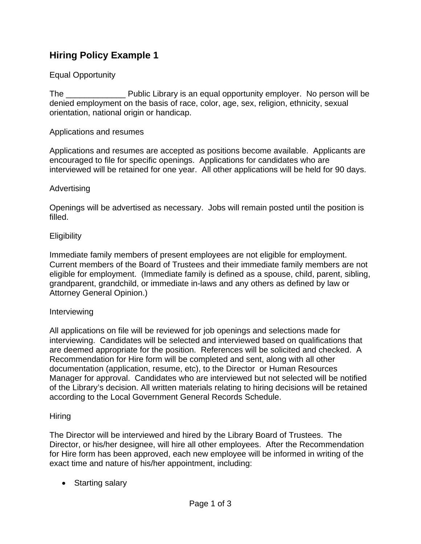# **Hiring Policy Example 1**

## Equal Opportunity

The \_\_\_\_\_\_\_\_\_\_\_\_\_ Public Library is an equal opportunity employer. No person will be denied employment on the basis of race, color, age, sex, religion, ethnicity, sexual orientation, national origin or handicap.

### Applications and resumes

Applications and resumes are accepted as positions become available. Applicants are encouraged to file for specific openings. Applications for candidates who are interviewed will be retained for one year. All other applications will be held for 90 days.

#### Advertising

Openings will be advertised as necessary. Jobs will remain posted until the position is filled.

#### **Eligibility**

Immediate family members of present employees are not eligible for employment. Current members of the Board of Trustees and their immediate family members are not eligible for employment. (Immediate family is defined as a spouse, child, parent, sibling, grandparent, grandchild, or immediate in-laws and any others as defined by law or Attorney General Opinion.)

#### Interviewing

All applications on file will be reviewed for job openings and selections made for interviewing. Candidates will be selected and interviewed based on qualifications that are deemed appropriate for the position. References will be solicited and checked. A Recommendation for Hire form will be completed and sent, along with all other documentation (application, resume, etc), to the Director or Human Resources Manager for approval. Candidates who are interviewed but not selected will be notified of the Library's decision. All written materials relating to hiring decisions will be retained according to the Local Government General Records Schedule.

#### **Hiring**

The Director will be interviewed and hired by the Library Board of Trustees. The Director, or his/her designee, will hire all other employees. After the Recommendation for Hire form has been approved, each new employee will be informed in writing of the exact time and nature of his/her appointment, including:

• Starting salary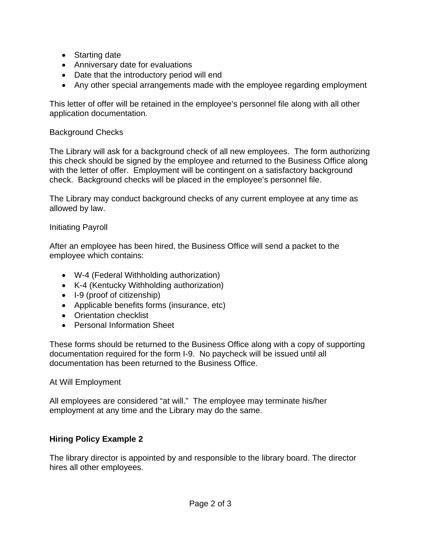- Starting date
- Anniversary date for evaluations
- Date that the introductory period will end
- Any other special arrangements made with the employee regarding employment

This letter of offer will be retained in the employee's personnel file along with all other application documentation.

# Background Checks

The Library will ask for a background check of all new employees. The form authorizing this check should be signed by the employee and returned to the Business Office along with the letter of offer. Employment will be contingent on a satisfactory background check. Background checks will be placed in the employee's personnel file.

The Library may conduct background checks of any current employee at any time as allowed by law.

## Initiating Payroll

After an employee has been hired, the Business Office will send a packet to the employee which contains:

- W-4 (Federal Withholding authorization)
- K-4 (Kentucky Withholding authorization)
- I-9 (proof of citizenship)
- Applicable benefits forms (insurance, etc)
- Orientation checklist
- Personal Information Sheet

These forms should be returned to the Business Office along with a copy of supporting documentation required for the form I-9. No paycheck will be issued until all documentation has been returned to the Business Office.

## At Will Employment

All employees are considered "at will." The employee may terminate his/her employment at any time and the Library may do the same.

# **Hiring Policy Example 2**

The library director is appointed by and responsible to the library board. The director hires all other employees.